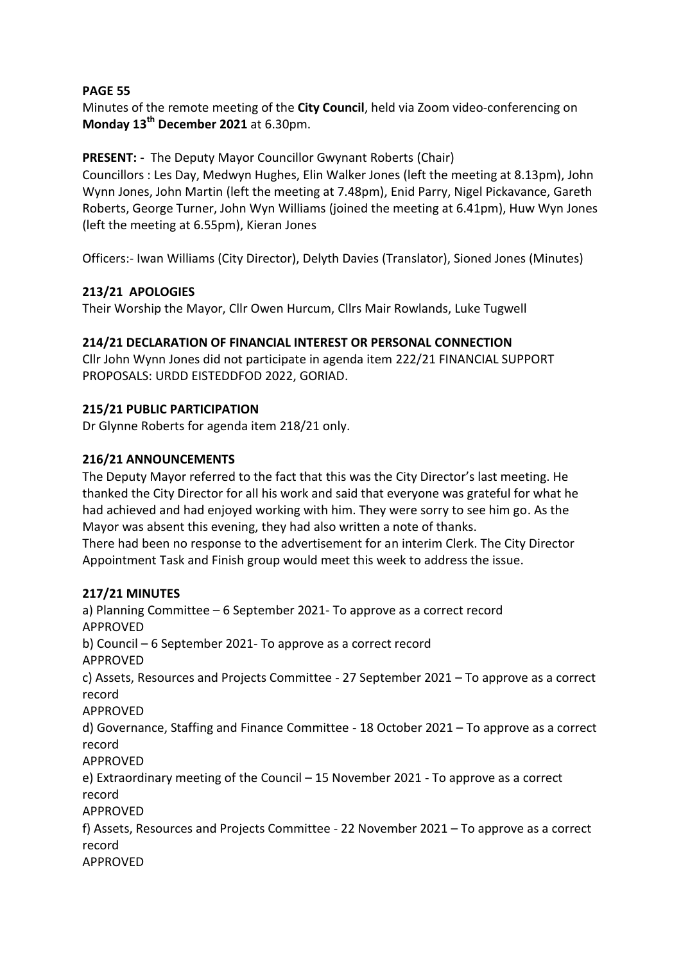Minutes of the remote meeting of the **City Council**, held via Zoom video-conferencing on **Monday 13th December 2021** at 6.30pm.

## **PRESENT: -** The Deputy Mayor Councillor Gwynant Roberts (Chair)

Councillors : Les Day, Medwyn Hughes, Elin Walker Jones (left the meeting at 8.13pm), John Wynn Jones, John Martin (left the meeting at 7.48pm), Enid Parry, Nigel Pickavance, Gareth Roberts, George Turner, John Wyn Williams (joined the meeting at 6.41pm), Huw Wyn Jones (left the meeting at 6.55pm), Kieran Jones

Officers:- Iwan Williams (City Director), Delyth Davies (Translator), Sioned Jones (Minutes)

## **213/21 APOLOGIES**

Their Worship the Mayor, Cllr Owen Hurcum, Cllrs Mair Rowlands, Luke Tugwell

### **214/21 DECLARATION OF FINANCIAL INTEREST OR PERSONAL CONNECTION**

Cllr John Wynn Jones did not participate in agenda item 222/21 FINANCIAL SUPPORT PROPOSALS: URDD EISTEDDFOD 2022, GORIAD.

### **215/21 PUBLIC PARTICIPATION**

Dr Glynne Roberts for agenda item 218/21 only.

### **216/21 ANNOUNCEMENTS**

The Deputy Mayor referred to the fact that this was the City Director's last meeting. He thanked the City Director for all his work and said that everyone was grateful for what he had achieved and had enjoyed working with him. They were sorry to see him go. As the Mayor was absent this evening, they had also written a note of thanks. There had been no response to the advertisement for an interim Clerk. The City Director Appointment Task and Finish group would meet this week to address the issue.

#### **217/21 MINUTES**

a) Planning Committee – 6 September 2021- To approve as a correct record APPROVED b) Council – 6 September 2021- To approve as a correct record APPROVED c) Assets, Resources and Projects Committee - 27 September 2021 – To approve as a correct record APPROVED d) Governance, Staffing and Finance Committee - 18 October 2021 – To approve as a correct record APPROVED e) Extraordinary meeting of the Council – 15 November 2021 - To approve as a correct record APPROVED f) Assets, Resources and Projects Committee - 22 November 2021 – To approve as a correct record APPROVED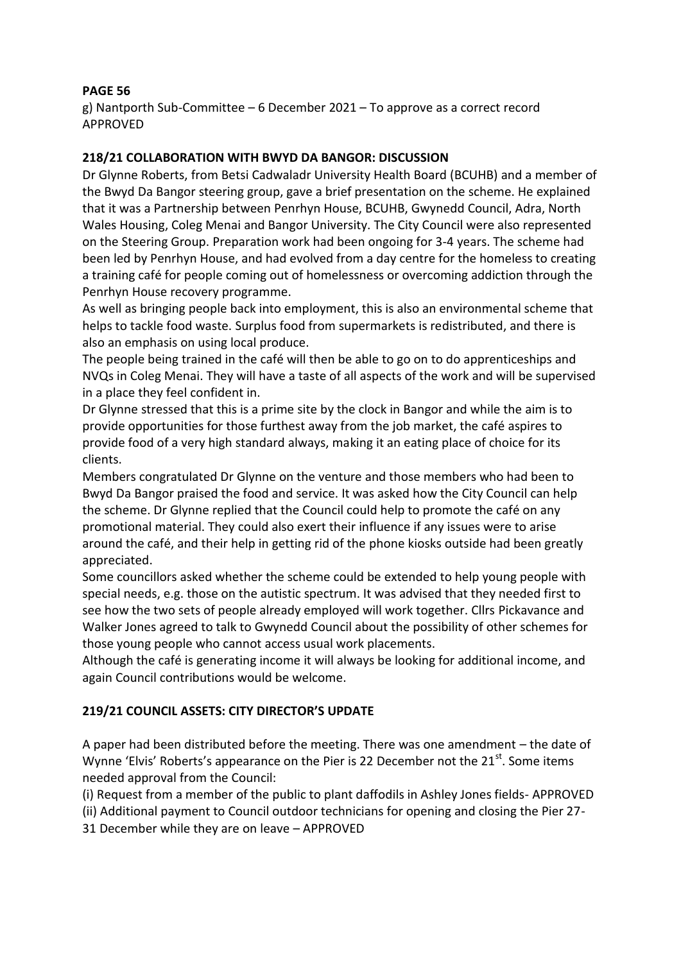g) Nantporth Sub-Committee – 6 December 2021 – To approve as a correct record APPROVED

### **218/21 COLLABORATION WITH BWYD DA BANGOR: DISCUSSION**

Dr Glynne Roberts, from Betsi Cadwaladr University Health Board (BCUHB) and a member of the Bwyd Da Bangor steering group, gave a brief presentation on the scheme. He explained that it was a Partnership between Penrhyn House, BCUHB, Gwynedd Council, Adra, North Wales Housing, Coleg Menai and Bangor University. The City Council were also represented on the Steering Group. Preparation work had been ongoing for 3-4 years. The scheme had been led by Penrhyn House, and had evolved from a day centre for the homeless to creating a training café for people coming out of homelessness or overcoming addiction through the Penrhyn House recovery programme.

As well as bringing people back into employment, this is also an environmental scheme that helps to tackle food waste. Surplus food from supermarkets is redistributed, and there is also an emphasis on using local produce.

The people being trained in the café will then be able to go on to do apprenticeships and NVQs in Coleg Menai. They will have a taste of all aspects of the work and will be supervised in a place they feel confident in.

Dr Glynne stressed that this is a prime site by the clock in Bangor and while the aim is to provide opportunities for those furthest away from the job market, the café aspires to provide food of a very high standard always, making it an eating place of choice for its clients.

Members congratulated Dr Glynne on the venture and those members who had been to Bwyd Da Bangor praised the food and service. It was asked how the City Council can help the scheme. Dr Glynne replied that the Council could help to promote the café on any promotional material. They could also exert their influence if any issues were to arise around the café, and their help in getting rid of the phone kiosks outside had been greatly appreciated.

Some councillors asked whether the scheme could be extended to help young people with special needs, e.g. those on the autistic spectrum. It was advised that they needed first to see how the two sets of people already employed will work together. Cllrs Pickavance and Walker Jones agreed to talk to Gwynedd Council about the possibility of other schemes for those young people who cannot access usual work placements.

Although the café is generating income it will always be looking for additional income, and again Council contributions would be welcome.

## **219/21 COUNCIL ASSETS: CITY DIRECTOR'S UPDATE**

A paper had been distributed before the meeting. There was one amendment – the date of Wynne 'Elvis' Roberts's appearance on the Pier is 22 December not the  $21^{st}$ . Some items needed approval from the Council:

(i) Request from a member of the public to plant daffodils in Ashley Jones fields- APPROVED

(ii) Additional payment to Council outdoor technicians for opening and closing the Pier 27-

31 December while they are on leave – APPROVED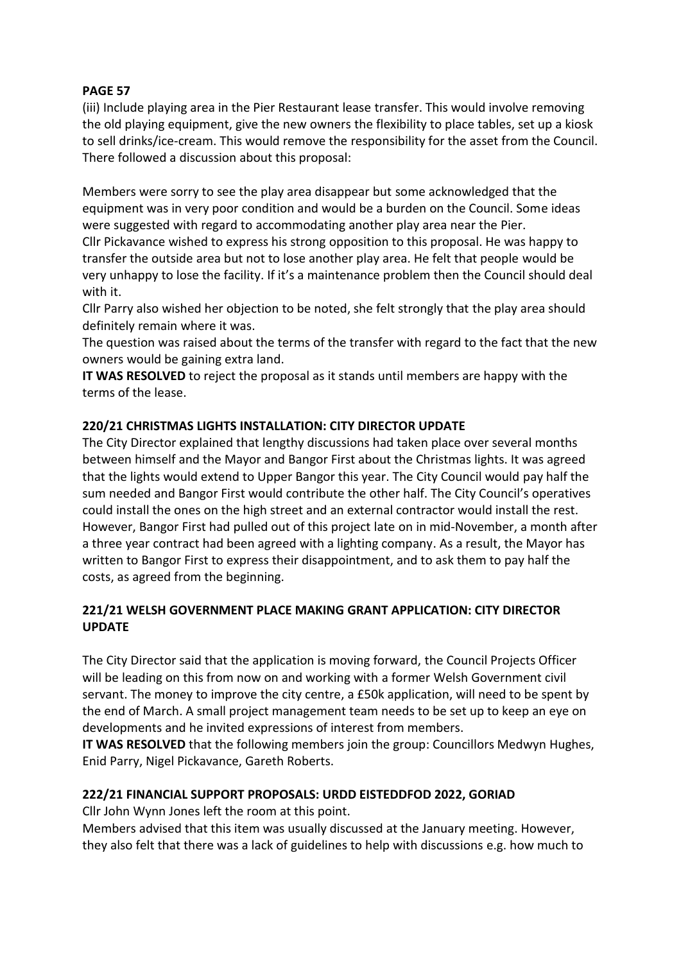(iii) Include playing area in the Pier Restaurant lease transfer. This would involve removing the old playing equipment, give the new owners the flexibility to place tables, set up a kiosk to sell drinks/ice-cream. This would remove the responsibility for the asset from the Council. There followed a discussion about this proposal:

Members were sorry to see the play area disappear but some acknowledged that the equipment was in very poor condition and would be a burden on the Council. Some ideas were suggested with regard to accommodating another play area near the Pier.

Cllr Pickavance wished to express his strong opposition to this proposal. He was happy to transfer the outside area but not to lose another play area. He felt that people would be very unhappy to lose the facility. If it's a maintenance problem then the Council should deal with it.

Cllr Parry also wished her objection to be noted, she felt strongly that the play area should definitely remain where it was.

The question was raised about the terms of the transfer with regard to the fact that the new owners would be gaining extra land.

**IT WAS RESOLVED** to reject the proposal as it stands until members are happy with the terms of the lease.

## **220/21 CHRISTMAS LIGHTS INSTALLATION: CITY DIRECTOR UPDATE**

The City Director explained that lengthy discussions had taken place over several months between himself and the Mayor and Bangor First about the Christmas lights. It was agreed that the lights would extend to Upper Bangor this year. The City Council would pay half the sum needed and Bangor First would contribute the other half. The City Council's operatives could install the ones on the high street and an external contractor would install the rest. However, Bangor First had pulled out of this project late on in mid-November, a month after a three year contract had been agreed with a lighting company. As a result, the Mayor has written to Bangor First to express their disappointment, and to ask them to pay half the costs, as agreed from the beginning.

## **221/21 WELSH GOVERNMENT PLACE MAKING GRANT APPLICATION: CITY DIRECTOR UPDATE**

The City Director said that the application is moving forward, the Council Projects Officer will be leading on this from now on and working with a former Welsh Government civil servant. The money to improve the city centre, a £50k application, will need to be spent by the end of March. A small project management team needs to be set up to keep an eye on developments and he invited expressions of interest from members.

**IT WAS RESOLVED** that the following members join the group: Councillors Medwyn Hughes, Enid Parry, Nigel Pickavance, Gareth Roberts.

# **222/21 FINANCIAL SUPPORT PROPOSALS: URDD EISTEDDFOD 2022, GORIAD**

Cllr John Wynn Jones left the room at this point.

Members advised that this item was usually discussed at the January meeting. However, they also felt that there was a lack of guidelines to help with discussions e.g. how much to